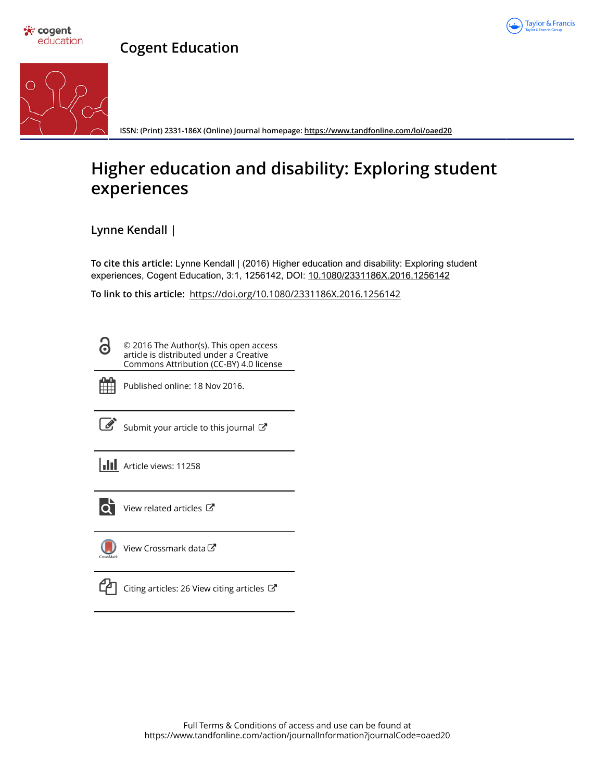

# **Cogent Education**



☆ cogent education

**ISSN: (Print) 2331-186X (Online) Journal homepage: <https://www.tandfonline.com/loi/oaed20>**

# **Higher education and disability: Exploring student experiences**

**Lynne Kendall |**

**To cite this article:** Lynne Kendall | (2016) Higher education and disability: Exploring student experiences, Cogent Education, 3:1, 1256142, DOI: [10.1080/2331186X.2016.1256142](https://www.tandfonline.com/action/showCitFormats?doi=10.1080/2331186X.2016.1256142)

**To link to this article:** <https://doi.org/10.1080/2331186X.2016.1256142>

<u>ල්</u>

© 2016 The Author(s). This open access article is distributed under a Creative Commons Attribution (CC-BY) 4.0 license



Published online: 18 Nov 2016.

 $\overrightarrow{S}$  [Submit your article to this journal](https://www.tandfonline.com/action/authorSubmission?journalCode=oaed20&show=instructions)  $\overrightarrow{S}$ 

| <b>III</b> Article views: 11258 |
|---------------------------------|
|                                 |



 $\overrightarrow{Q}$  [View related articles](https://www.tandfonline.com/doi/mlt/10.1080/2331186X.2016.1256142)  $\overrightarrow{C}$ 



[View Crossmark data](http://crossmark.crossref.org/dialog/?doi=10.1080/2331186X.2016.1256142&domain=pdf&date_stamp=2016-11-18)<sup>√</sup>



 $\Box$  [Citing articles: 26 View citing articles](https://www.tandfonline.com/doi/citedby/10.1080/2331186X.2016.1256142#tabModule)  $\Box$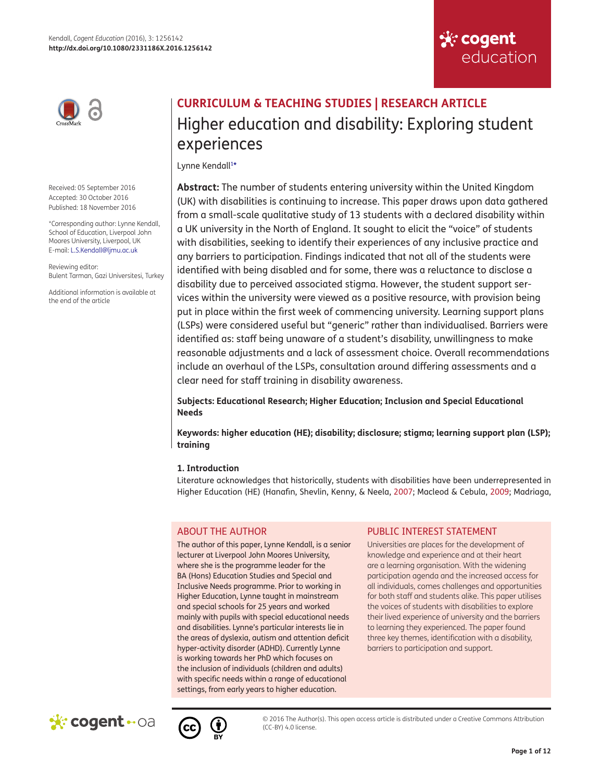

Received: 05 September 2016 Accepted: 30 October 2016 Published: 18 November 2016

<span id="page-1-0"></span>\*Corresponding author: Lynne Kendall, School of Education, Liverpool, John Moores University, Liverpool, UK E-mail: [L.S.Kendall@ljmu.ac.uk](mailto:L.S.Kendall@ljmu.ac.uk)

Reviewing editor: Bulent Tarman, Gazi Universitesi, Turkey

Additional information is available at the end of the article

# **CURRICULUM & TEACHING STUDIES | RESEARCH ARTICLE** Higher education and disability: Exploring student experiences

<span id="page-1-1"></span>Lynne Kendall<sup>1</sup>[\\*](#page-1-0)

**Abstract:** The number of students entering university within the United Kingdom (UK) with disabilities is continuing to increase. This paper draws upon data gathered from a small-scale qualitative study of 13 students with a declared disability within a UK university in the North of England. It sought to elicit the "voice" of students with disabilities, seeking to identify their experiences of any inclusive practice and any barriers to participation. Findings indicated that not all of the students were identified with being disabled and for some, there was a reluctance to disclose a disability due to perceived associated stigma. However, the student support services within the university were viewed as a positive resource, with provision being put in place within the first week of commencing university. Learning support plans (LSPs) were considered useful but "generic" rather than individualised. Barriers were identified as: staff being unaware of a student's disability, unwillingness to make reasonable adjustments and a lack of assessment choice. Overall recommendations include an overhaul of the LSPs, consultation around differing assessments and a clear need for staff training in disability awareness.

**Subjects: Educational Research; Higher Education; Inclusion and Special Educational Needs**

**Keywords: higher education (HE); disability; disclosure; stigma; learning support plan (LSP); training**

## **1. Introduction**

<span id="page-1-2"></span>Literature acknowledges that historically, students with disabilities have been underrepresented in Higher Education (HE) (Hanafin, Shevlin, Kenny, & Neela, [2007](#page-11-0); Macleod & Cebula, [2009](#page-11-1); Madriaga,

# ABOUT THE AUTHOR

The author of this paper, Lynne Kendall, is a senior lecturer at Liverpool John Moores University, where she is the programme leader for the BA (Hons) Education Studies and Special and Inclusive Needs programme. Prior to working in Higher Education, Lynne taught in mainstream and special schools for 25 years and worked mainly with pupils with special educational needs and disabilities. Lynne's particular interests lie in the areas of dyslexia, autism and attention deficit hyper-activity disorder (ADHD). Currently Lynne is working towards her PhD which focuses on the inclusion of individuals (children and adults) with specific needs within a range of educational settings, from early years to higher education.

# <span id="page-1-3"></span>PUBLIC INTEREST STATEMENT

Universities are places for the development of knowledge and experience and at their heart are a learning organisation. With the widening participation agenda and the increased access for all individuals, comes challenges and opportunities for both staff and students alike. This paper utilises the voices of students with disabilities to explore their lived experience of university and the barriers to learning they experienced. The paper found three key themes, identification with a disability, barriers to participation and support.

**Sk: cogent** 

education





© 2016 The Author(s). This open access article is distributed under a Creative Commons Attribution (CC-BY) 4.0 license.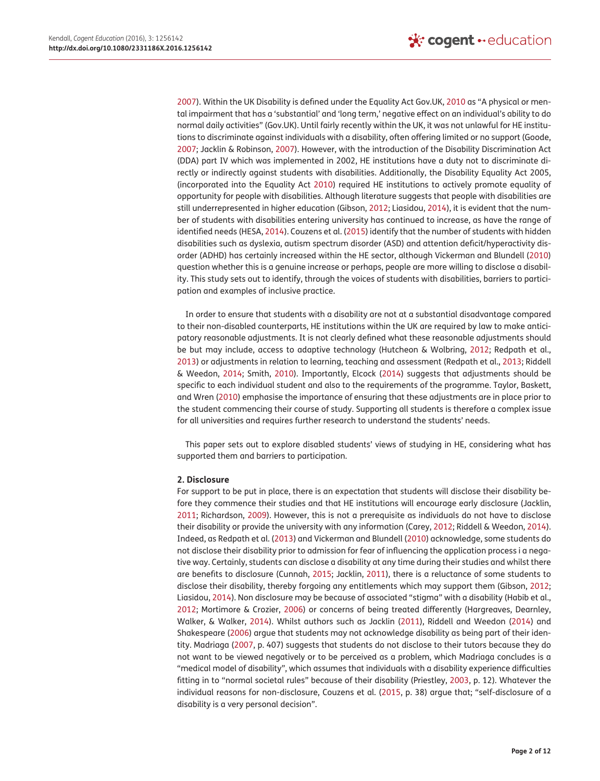<span id="page-2-14"></span><span id="page-2-13"></span><span id="page-2-12"></span><span id="page-2-6"></span><span id="page-2-5"></span><span id="page-2-4"></span>[2007](#page-11-2)). Within the UK Disability is defined under the Equality Act Gov.UK, [2010](#page-11-3) as "A physical or mental impairment that has a 'substantial' and 'long term,' negative effect on an individual's ability to do normal daily activities" (Gov.UK). Until fairly recently within the UK, it was not unlawful for HE institutions to discriminate against individuals with a disability, often offering limited or no support (Goode, [2007](#page-11-4); Jacklin & Robinson, [2007](#page-11-5)). However, with the introduction of the Disability Discrimination Act (DDA) part IV which was implemented in 2002, HE institutions have a duty not to discriminate directly or indirectly against students with disabilities. Additionally, the Disability Equality Act 2005, (incorporated into the Equality Act [2010](#page-11-3)) required HE institutions to actively promote equality of opportunity for people with disabilities. Although literature suggests that people with disabilities are still underrepresented in higher education (Gibson, [2012](#page-11-6); Liasidou, [2014\)](#page-11-7), it is evident that the number of students with disabilities entering university has continued to increase, as have the range of identified needs (HESA, [2014\)](#page-11-8). Couzens et al. ([2015](#page-10-1)) identify that the number of students with hidden disabilities such as dyslexia, autism spectrum disorder (ASD) and attention deficit/hyperactivity disorder (ADHD) has certainly increased within the HE sector, although Vickerman and Blundell ([2010](#page-11-9)) question whether this is a genuine increase or perhaps, people are more willing to disclose a disability. This study sets out to identify, through the voices of students with disabilities, barriers to participation and examples of inclusive practice.

<span id="page-2-23"></span><span id="page-2-21"></span><span id="page-2-19"></span><span id="page-2-17"></span><span id="page-2-10"></span><span id="page-2-9"></span><span id="page-2-3"></span><span id="page-2-1"></span>In order to ensure that students with a disability are not at a substantial disadvantage compared to their non-disabled counterparts, HE institutions within the UK are required by law to make anticipatory reasonable adjustments. It is not clearly defined what these reasonable adjustments should be but may include, access to adaptive technology (Hutcheon & Wolbring, [2012;](#page-11-10) Redpath et al., [2013](#page-11-11)) or adjustments in relation to learning, teaching and assessment (Redpath et al., [2013;](#page-11-11) Riddell & Weedon, [2014;](#page-11-12) Smith, [2010](#page-11-13)). Importantly, Elcock [\(2014](#page-10-2)) suggests that adjustments should be specific to each individual student and also to the requirements of the programme. Taylor, Baskett, and Wren [\(2010](#page-11-14)) emphasise the importance of ensuring that these adjustments are in place prior to the student commencing their course of study. Supporting all students is therefore a complex issue for all universities and requires further research to understand the students' needs.

<span id="page-2-22"></span>This paper sets out to explore disabled students' views of studying in HE, considering what has supported them and barriers to participation.

#### **2. Disclosure**

<span id="page-2-20"></span><span id="page-2-18"></span><span id="page-2-16"></span><span id="page-2-15"></span><span id="page-2-11"></span><span id="page-2-8"></span><span id="page-2-7"></span><span id="page-2-2"></span><span id="page-2-0"></span>For support to be put in place, there is an expectation that students will disclose their disability before they commence their studies and that HE institutions will encourage early disclosure (Jacklin, [2011](#page-11-15); Richardson, [2009\)](#page-11-16). However, this is not a prerequisite as individuals do not have to disclose their disability or provide the university with any information (Carey, [2012;](#page-10-3) Riddell & Weedon, [2014\)](#page-11-12). Indeed, as Redpath et al. ([2013](#page-11-11)) and Vickerman and Blundell [\(2010\)](#page-11-9) acknowledge, some students do not disclose their disability prior to admission for fear of influencing the application process i a negative way. Certainly, students can disclose a disability at any time during their studies and whilst there are benefits to disclosure (Cunnah, [2015;](#page-10-4) Jacklin, [2011\)](#page-11-15), there is a reluctance of some students to disclose their disability, thereby forgoing any entitlements which may support them (Gibson, [2012;](#page-11-6) Liasidou, [2014](#page-11-7)). Non disclosure may be because of associated "stigma" with a disability (Habib et al., [2012](#page-11-17); Mortimore & Crozier, [2006\)](#page-11-18) or concerns of being treated differently (Hargreaves, Dearnley, Walker, & Walker, [2014](#page-11-19)). Whilst authors such as Jacklin [\(2011](#page-11-15)), Riddell and Weedon ([2014](#page-11-12)) and Shakespeare ([2006](#page-11-20)) argue that students may not acknowledge disability as being part of their identity. Madriaga ([2007](#page-11-2), p. 407) suggests that students do not disclose to their tutors because they do not want to be viewed negatively or to be perceived as a problem, which Madriaga concludes is a "medical model of disability", which assumes that individuals with a disability experience difficulties fitting in to "normal societal rules" because of their disability (Priestley, [2003](#page-11-21), p. 12). Whatever the individual reasons for non-disclosure, Couzens et al. ([2015](#page-10-1), p. 38) argue that; "self-disclosure of a disability is a very personal decision".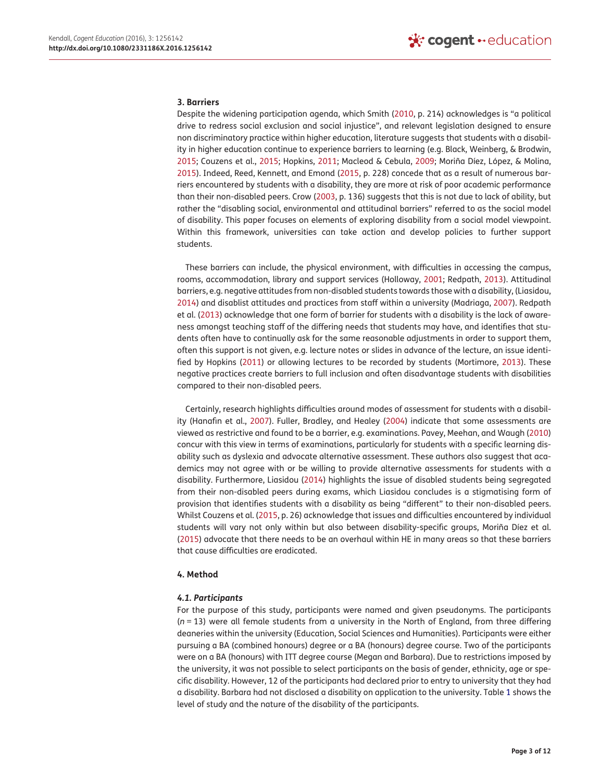#### **3. Barriers**

<span id="page-3-8"></span><span id="page-3-5"></span><span id="page-3-4"></span><span id="page-3-0"></span>Despite the widening participation agenda, which Smith ([2010](#page-11-13), p. 214) acknowledges is "a political drive to redress social exclusion and social injustice", and relevant legislation designed to ensure non discriminatory practice within higher education, literature suggests that students with a disability in higher education continue to experience barriers to learning (e.g. Black, Weinberg, & Brodwin, [2015](#page-10-5); Couzens et al., [2015;](#page-10-1) Hopkins, [2011](#page-11-22); Macleod & Cebula, [2009](#page-11-1); Moriña Díez, López, & Molina, [2015](#page-11-23)). Indeed, Reed, Kennett, and Emond [\(2015,](#page-11-24) p. 228) concede that as a result of numerous barriers encountered by students with a disability, they are more at risk of poor academic performance than their non-disabled peers. Crow [\(2003,](#page-10-6) p. 136) suggests that this is not due to lack of ability, but rather the "disabling social, environmental and attitudinal barriers" referred to as the social model of disability. This paper focuses on elements of exploring disability from a social model viewpoint. Within this framework, universities can take action and develop policies to further support students.

<span id="page-3-3"></span><span id="page-3-1"></span>These barriers can include, the physical environment, with difficulties in accessing the campus, rooms, accommodation, library and support services (Holloway, [2001;](#page-11-25) Redpath, [2013](#page-11-11)). Attitudinal barriers, e.g. negative attitudes from non-disabled students towards those with a disability, (Liasidou, [2014](#page-11-7)) and disablist attitudes and practices from staff within a university (Madriaga, [2007\)](#page-11-2). Redpath et al. ([2013](#page-11-11)) acknowledge that one form of barrier for students with a disability is the lack of awareness amongst teaching staff of the differing needs that students may have, and identifies that students often have to continually ask for the same reasonable adjustments in order to support them, often this support is not given, e.g. lecture notes or slides in advance of the lecture, an issue identified by Hopkins [\(2011\)](#page-11-22) or allowing lectures to be recorded by students (Mortimore, [2013](#page-11-26)). These negative practices create barriers to full inclusion and often disadvantage students with disabilities compared to their non-disabled peers.

<span id="page-3-7"></span><span id="page-3-6"></span><span id="page-3-2"></span>Certainly, research highlights difficulties around modes of assessment for students with a disability (Hanafin et al., [2007](#page-11-0)). Fuller, Bradley, and Healey ([2004](#page-10-7)) indicate that some assessments are viewed as restrictive and found to be a barrier, e.g. examinations. Pavey, Meehan, and Waugh ([2010](#page-11-27)) concur with this view in terms of examinations, particularly for students with a specific learning disability such as dyslexia and advocate alternative assessment. These authors also suggest that academics may not agree with or be willing to provide alternative assessments for students with a disability. Furthermore, Liasidou ([2014](#page-11-7)) highlights the issue of disabled students being segregated from their non-disabled peers during exams, which Liasidou concludes is a stigmatising form of provision that identifies students with a disability as being "different" to their non-disabled peers. Whilst Couzens et al. ([2015](#page-10-1), p. 26) acknowledge that issues and difficulties encountered by individual students will vary not only within but also between disability-specific groups, Moriña Díez et al. ([2015](#page-11-23)) advocate that there needs to be an overhaul within HE in many areas so that these barriers that cause difficulties are eradicated.

#### **4. Method**

#### *4.1. Participants*

For the purpose of this study, participants were named and given pseudonyms. The participants (*n* = 13) were all female students from a university in the North of England, from three differing deaneries within the university (Education, Social Sciences and Humanities). Participants were either pursuing a BA (combined honours) degree or a BA (honours) degree course. Two of the participants were on a BA (honours) with ITT degree course (Megan and Barbara). Due to restrictions imposed by the university, it was not possible to select participants on the basis of gender, ethnicity, age or specific disability. However, 12 of the participants had declared prior to entry to university that they had a disability. Barbara had not disclosed a disability on application to the university. Table [1](#page-4-0) shows the level of study and the nature of the disability of the participants.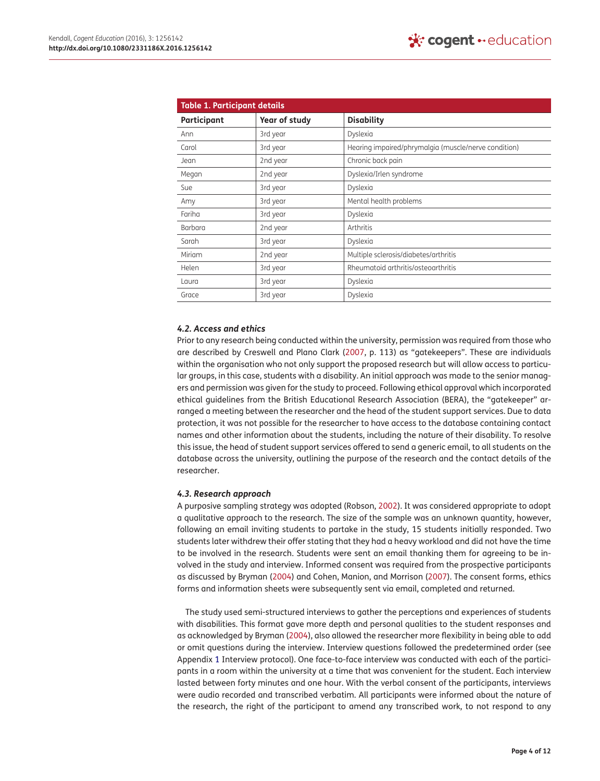<span id="page-4-0"></span>

| <b>Table 1. Participant details</b> |               |                                                      |  |
|-------------------------------------|---------------|------------------------------------------------------|--|
| Participant                         | Year of study | <b>Disability</b>                                    |  |
| Ann                                 | 3rd year      | Dyslexia                                             |  |
| Carol                               | 3rd year      | Hearing impaired/phrymalgia (muscle/nerve condition) |  |
| Jean                                | 2nd year      | Chronic back pain                                    |  |
| Megan                               | 2nd year      | Dyslexia/Irlen syndrome                              |  |
| Sue                                 | 3rd year      | Dyslexia                                             |  |
| Amy                                 | 3rd year      | Mental health problems                               |  |
| Fariha                              | 3rd year      | Dyslexia                                             |  |
| Barbara                             | 2nd year      | Arthritis                                            |  |
| Sarah                               | 3rd year      | Dyslexia                                             |  |
| Miriam                              | 2nd year      | Multiple sclerosis/diabetes/arthritis                |  |
| Helen                               | 3rd year      | Rheumatoid arthritis/osteoarthritis                  |  |
| Laura                               | 3rd year      | Dyslexia                                             |  |
| Grace                               | 3rd year      | Dyslexia                                             |  |

## *4.2. Access and ethics*

<span id="page-4-3"></span>Prior to any research being conducted within the university, permission was required from those who are described by Creswell and Plano Clark ([2007](#page-10-8), p. 113) as "gatekeepers". These are individuals within the organisation who not only support the proposed research but will allow access to particular groups, in this case, students with a disability. An initial approach was made to the senior managers and permission was given for the study to proceed. Following ethical approval which incorporated ethical guidelines from the British Educational Research Association (BERA), the "gatekeeper" arranged a meeting between the researcher and the head of the student support services. Due to data protection, it was not possible for the researcher to have access to the database containing contact names and other information about the students, including the nature of their disability. To resolve this issue, the head of student support services offered to send a generic email, to all students on the database across the university, outlining the purpose of the research and the contact details of the researcher.

## *4.3. Research approach*

<span id="page-4-4"></span>A purposive sampling strategy was adopted (Robson, [2002\)](#page-11-28). It was considered appropriate to adopt a qualitative approach to the research. The size of the sample was an unknown quantity, however, following an email inviting students to partake in the study, 15 students initially responded. Two students later withdrew their offer stating that they had a heavy workload and did not have the time to be involved in the research. Students were sent an email thanking them for agreeing to be involved in the study and interview. Informed consent was required from the prospective participants as discussed by Bryman ([2004](#page-10-9)) and Cohen, Manion, and Morrison ([2007](#page-10-10)). The consent forms, ethics forms and information sheets were subsequently sent via email, completed and returned.

<span id="page-4-2"></span><span id="page-4-1"></span>The study used semi-structured interviews to gather the perceptions and experiences of students with disabilities. This format gave more depth and personal qualities to the student responses and as acknowledged by Bryman [\(2004\)](#page-10-9), also allowed the researcher more flexibility in being able to add or omit questions during the interview. Interview questions followed the predetermined order (see Appendix [1](#page-12-0) Interview protocol). One face-to-face interview was conducted with each of the participants in a room within the university at a time that was convenient for the student. Each interview lasted between forty minutes and one hour. With the verbal consent of the participants, interviews were audio recorded and transcribed verbatim. All participants were informed about the nature of the research, the right of the participant to amend any transcribed work, to not respond to any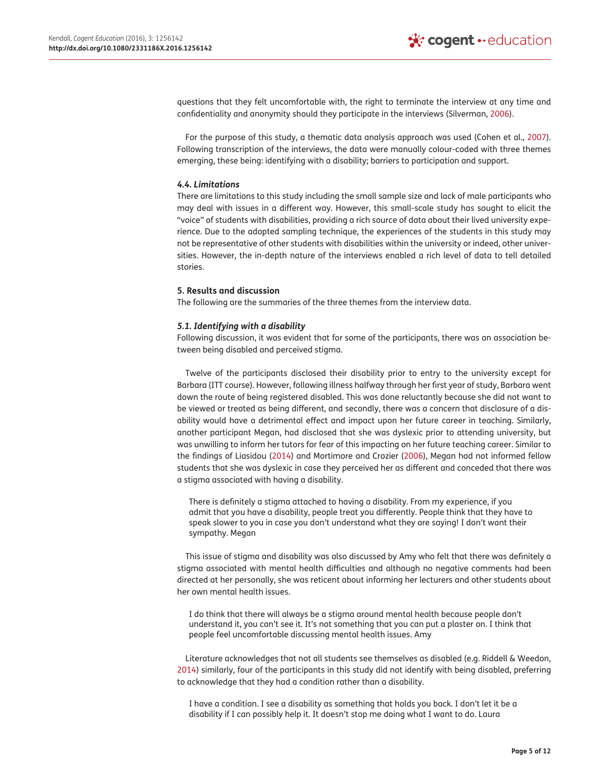<span id="page-5-0"></span>questions that they felt uncomfortable with, the right to terminate the interview at any time and confidentiality and anonymity should they participate in the interviews (Silverman, [2006](#page-11-29)).

For the purpose of this study, a thematic data analysis approach was used (Cohen et al., [2007](#page-10-10)). Following transcription of the interviews, the data were manually colour-coded with three themes emerging, these being: identifying with a disability; barriers to participation and support.

### *4.4. Limitations*

There are limitations to this study including the small sample size and lack of male participants who may deal with issues in a different way. However, this small-scale study has sought to elicit the "voice" of students with disabilities, providing a rich source of data about their lived university experience. Due to the adopted sampling technique, the experiences of the students in this study may not be representative of other students with disabilities within the university or indeed, other universities. However, the in-depth nature of the interviews enabled a rich level of data to tell detailed stories.

#### **5. Results and discussion**

The following are the summaries of the three themes from the interview data.

#### *5.1. Identifying with a disability*

Following discussion, it was evident that for some of the participants, there was an association between being disabled and perceived stigma.

Twelve of the participants disclosed their disability prior to entry to the university except for Barbara (ITT course). However, following illness halfway through her first year of study, Barbara went down the route of being registered disabled. This was done reluctantly because she did not want to be viewed or treated as being different, and secondly, there was a concern that disclosure of a disability would have a detrimental effect and impact upon her future career in teaching. Similarly, another participant Megan, had disclosed that she was dyslexic prior to attending university, but was unwilling to inform her tutors for fear of this impacting on her future teaching career. Similar to the findings of Liasidou [\(2014\)](#page-11-7) and Mortimore and Crozier [\(2006\)](#page-11-18), Megan had not informed fellow students that she was dyslexic in case they perceived her as different and conceded that there was a stigma associated with having a disability.

There is definitely a stigma attached to having a disability. From my experience, if you admit that you have a disability, people treat you differently. People think that they have to speak slower to you in case you don't understand what they are saying! I don't want their sympathy. Megan

This issue of stigma and disability was also discussed by Amy who felt that there was definitely a stigma associated with mental health difficulties and although no negative comments had been directed at her personally, she was reticent about informing her lecturers and other students about her own mental health issues.

I do think that there will always be a stigma around mental health because people don't understand it, you can't see it. It's not something that you can put a plaster on. I think that people feel uncomfortable discussing mental health issues. Amy

Literature acknowledges that not all students see themselves as disabled (e.g. Riddell & Weedon, [2014](#page-11-12)) similarly, four of the participants in this study did not identify with being disabled, preferring to acknowledge that they had a condition rather than a disability.

I have a condition. I see a disability as something that holds you back. I don't let it be a disability if I can possibly help it. It doesn't stop me doing what I want to do. Laura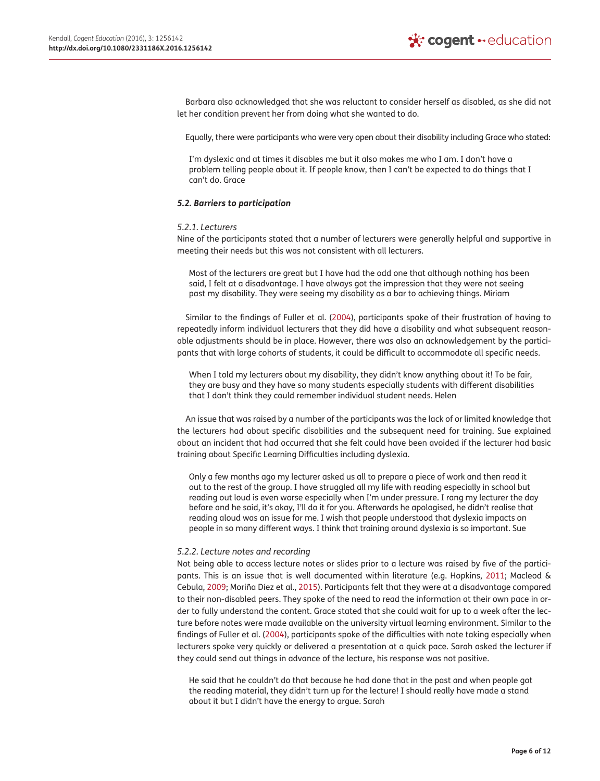Barbara also acknowledged that she was reluctant to consider herself as disabled, as she did not let her condition prevent her from doing what she wanted to do.

Equally, there were participants who were very open about their disability including Grace who stated:

I'm dyslexic and at times it disables me but it also makes me who I am. I don't have a problem telling people about it. If people know, then I can't be expected to do things that I can't do. Grace

#### *5.2. Barriers to participation*

#### *5.2.1. Lecturers*

Nine of the participants stated that a number of lecturers were generally helpful and supportive in meeting their needs but this was not consistent with all lecturers.

Most of the lecturers are great but I have had the odd one that although nothing has been said, I felt at a disadvantage. I have always got the impression that they were not seeing past my disability. They were seeing my disability as a bar to achieving things. Miriam

Similar to the findings of Fuller et al. [\(2004\)](#page-10-7), participants spoke of their frustration of having to repeatedly inform individual lecturers that they did have a disability and what subsequent reasonable adjustments should be in place. However, there was also an acknowledgement by the participants that with large cohorts of students, it could be difficult to accommodate all specific needs.

When I told my lecturers about my disability, they didn't know anything about it! To be fair, they are busy and they have so many students especially students with different disabilities that I don't think they could remember individual student needs. Helen

An issue that was raised by a number of the participants was the lack of or limited knowledge that the lecturers had about specific disabilities and the subsequent need for training. Sue explained about an incident that had occurred that she felt could have been avoided if the lecturer had basic training about Specific Learning Difficulties including dyslexia.

Only a few months ago my lecturer asked us all to prepare a piece of work and then read it out to the rest of the group. I have struggled all my life with reading especially in school but reading out loud is even worse especially when I'm under pressure. I rang my lecturer the day before and he said, it's okay, I'll do it for you. Afterwards he apologised, he didn't realise that reading aloud was an issue for me. I wish that people understood that dyslexia impacts on people in so many different ways. I think that training around dyslexia is so important. Sue

#### *5.2.2. Lecture notes and recording*

Not being able to access lecture notes or slides prior to a lecture was raised by five of the participants. This is an issue that is well documented within literature (e.g. Hopkins, [2011;](#page-11-22) Macleod & Cebula, [2009;](#page-11-1) Moriña Díez et al., [2015\)](#page-11-23). Participants felt that they were at a disadvantage compared to their non-disabled peers. They spoke of the need to read the information at their own pace in order to fully understand the content. Grace stated that she could wait for up to a week after the lecture before notes were made available on the university virtual learning environment. Similar to the findings of Fuller et al. [\(2004\)](#page-10-7), participants spoke of the difficulties with note taking especially when lecturers spoke very quickly or delivered a presentation at a quick pace. Sarah asked the lecturer if they could send out things in advance of the lecture, his response was not positive.

He said that he couldn't do that because he had done that in the past and when people got the reading material, they didn't turn up for the lecture! I should really have made a stand about it but I didn't have the energy to argue. Sarah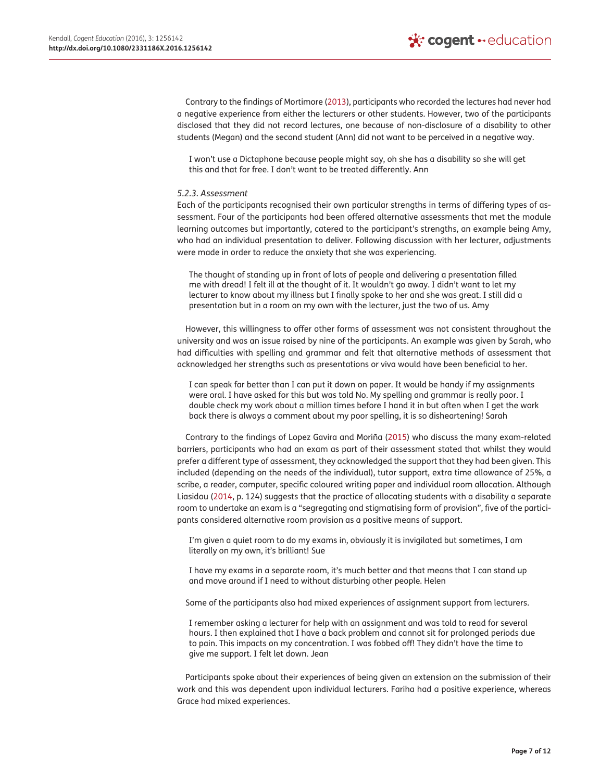Contrary to the findings of Mortimore ([2013\)](#page-11-26), participants who recorded the lectures had never had a negative experience from either the lecturers or other students. However, two of the participants disclosed that they did not record lectures, one because of non-disclosure of a disability to other students (Megan) and the second student (Ann) did not want to be perceived in a negative way.

I won't use a Dictaphone because people might say, oh she has a disability so she will get this and that for free. I don't want to be treated differently. Ann

#### *5.2.3. Assessment*

Each of the participants recognised their own particular strengths in terms of differing types of assessment. Four of the participants had been offered alternative assessments that met the module learning outcomes but importantly, catered to the participant's strengths, an example being Amy, who had an individual presentation to deliver. Following discussion with her lecturer, adjustments were made in order to reduce the anxiety that she was experiencing.

The thought of standing up in front of lots of people and delivering a presentation filled me with dread! I felt ill at the thought of it. It wouldn't go away. I didn't want to let my lecturer to know about my illness but I finally spoke to her and she was great. I still did a presentation but in a room on my own with the lecturer, just the two of us. Amy

However, this willingness to offer other forms of assessment was not consistent throughout the university and was an issue raised by nine of the participants. An example was given by Sarah, who had difficulties with spelling and grammar and felt that alternative methods of assessment that acknowledged her strengths such as presentations or viva would have been beneficial to her.

I can speak far better than I can put it down on paper. It would be handy if my assignments were oral. I have asked for this but was told No. My spelling and grammar is really poor. I double check my work about a million times before I hand it in but often when I get the work back there is always a comment about my poor spelling, it is so disheartening! Sarah

<span id="page-7-0"></span>Contrary to the findings of Lopez Gavira and Moriña [\(2015](#page-11-30)) who discuss the many exam-related barriers, participants who had an exam as part of their assessment stated that whilst they would prefer a different type of assessment, they acknowledged the support that they had been given. This included (depending on the needs of the individual), tutor support, extra time allowance of 25%, a scribe, a reader, computer, specific coloured writing paper and individual room allocation. Although Liasidou ([2014](#page-11-7), p. 124) suggests that the practice of allocating students with a disability a separate room to undertake an exam is a "segregating and stigmatising form of provision", five of the participants considered alternative room provision as a positive means of support.

I'm given a quiet room to do my exams in, obviously it is invigilated but sometimes, I am literally on my own, it's brilliant! Sue

I have my exams in a separate room, it's much better and that means that I can stand up and move around if I need to without disturbing other people. Helen

Some of the participants also had mixed experiences of assignment support from lecturers.

I remember asking a lecturer for help with an assignment and was told to read for several hours. I then explained that I have a back problem and cannot sit for prolonged periods due to pain. This impacts on my concentration. I was fobbed off! They didn't have the time to give me support. I felt let down. Jean

Participants spoke about their experiences of being given an extension on the submission of their work and this was dependent upon individual lecturers. Fariha had a positive experience, whereas Grace had mixed experiences.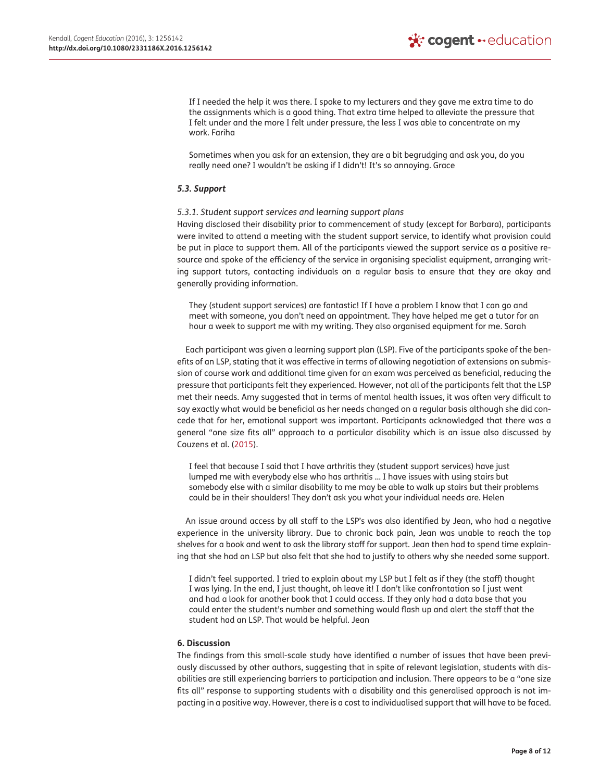If I needed the help it was there. I spoke to my lecturers and they gave me extra time to do the assignments which is a good thing. That extra time helped to alleviate the pressure that I felt under and the more I felt under pressure, the less I was able to concentrate on my work. Fariha

Sometimes when you ask for an extension, they are a bit begrudging and ask you, do you really need one? I wouldn't be asking if I didn't! It's so annoying. Grace

### *5.3. Support*

## *5.3.1. Student support services and learning support plans*

Having disclosed their disability prior to commencement of study (except for Barbara), participants were invited to attend a meeting with the student support service, to identify what provision could be put in place to support them. All of the participants viewed the support service as a positive resource and spoke of the efficiency of the service in organising specialist equipment, arranging writing support tutors, contacting individuals on a regular basis to ensure that they are okay and generally providing information.

They (student support services) are fantastic! If I have a problem I know that I can go and meet with someone, you don't need an appointment. They have helped me get a tutor for an hour a week to support me with my writing. They also organised equipment for me. Sarah

Each participant was given a learning support plan (LSP). Five of the participants spoke of the benefits of an LSP, stating that it was effective in terms of allowing negotiation of extensions on submission of course work and additional time given for an exam was perceived as beneficial, reducing the pressure that participants felt they experienced. However, not all of the participants felt that the LSP met their needs. Amy suggested that in terms of mental health issues, it was often very difficult to say exactly what would be beneficial as her needs changed on a regular basis although she did concede that for her, emotional support was important. Participants acknowledged that there was a general "one size fits all" approach to a particular disability which is an issue also discussed by Couzens et al. ([2015](#page-10-1)).

I feel that because I said that I have arthritis they (student support services) have just lumped me with everybody else who has arthritis … I have issues with using stairs but somebody else with a similar disability to me may be able to walk up stairs but their problems could be in their shoulders! They don't ask you what your individual needs are. Helen

An issue around access by all staff to the LSP's was also identified by Jean, who had a negative experience in the university library. Due to chronic back pain, Jean was unable to reach the top shelves for a book and went to ask the library staff for support. Jean then had to spend time explaining that she had an LSP but also felt that she had to justify to others why she needed some support.

I didn't feel supported. I tried to explain about my LSP but I felt as if they (the staff) thought I was lying. In the end, I just thought, oh leave it! I don't like confrontation so I just went and had a look for another book that I could access. If they only had a data base that you could enter the student's number and something would flash up and alert the staff that the student had an LSP. That would be helpful. Jean

#### **6. Discussion**

The findings from this small-scale study have identified a number of issues that have been previously discussed by other authors, suggesting that in spite of relevant legislation, students with disabilities are still experiencing barriers to participation and inclusion. There appears to be a "one size fits all" response to supporting students with a disability and this generalised approach is not impacting in a positive way. However, there is a cost to individualised support that will have to be faced.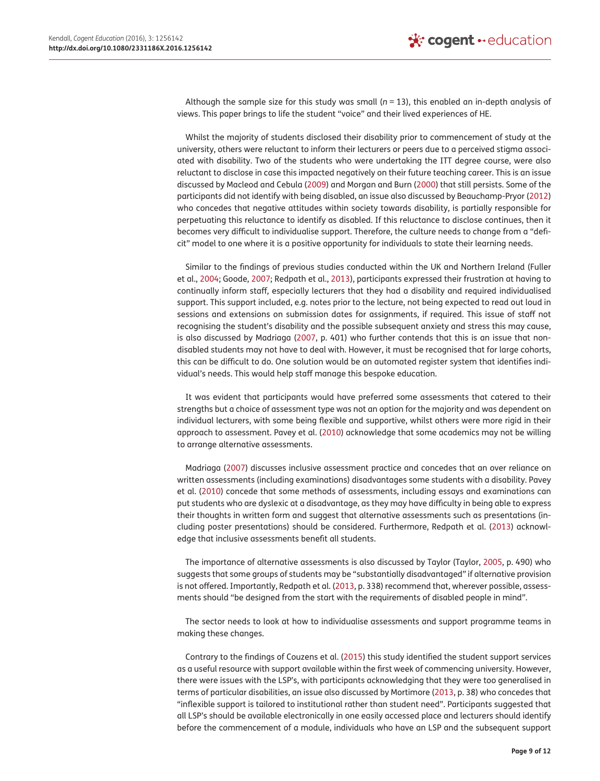Although the sample size for this study was small  $(n = 13)$ , this enabled an in-depth analysis of views. This paper brings to life the student "voice" and their lived experiences of HE.

<span id="page-9-1"></span><span id="page-9-0"></span>Whilst the majority of students disclosed their disability prior to commencement of study at the university, others were reluctant to inform their lecturers or peers due to a perceived stigma associated with disability. Two of the students who were undertaking the ITT degree course, were also reluctant to disclose in case this impacted negatively on their future teaching career. This is an issue discussed by Macleod and Cebula ([2009](#page-11-1)) and Morgan and Burn [\(2000](#page-11-31)) that still persists. Some of the participants did not identify with being disabled, an issue also discussed by Beauchamp-Pryor ([2012](#page-10-11)) who concedes that negative attitudes within society towards disability, is partially responsible for perpetuating this reluctance to identify as disabled. If this reluctance to disclose continues, then it becomes very difficult to individualise support. Therefore, the culture needs to change from a "deficit" model to one where it is a positive opportunity for individuals to state their learning needs.

Similar to the findings of previous studies conducted within the UK and Northern Ireland (Fuller et al., [2004](#page-10-7); Goode, [2007;](#page-11-4) Redpath et al., [2013\)](#page-11-11), participants expressed their frustration at having to continually inform staff, especially lecturers that they had a disability and required individualised support. This support included, e.g. notes prior to the lecture, not being expected to read out loud in sessions and extensions on submission dates for assignments, if required. This issue of staff not recognising the student's disability and the possible subsequent anxiety and stress this may cause, is also discussed by Madriaga [\(2007,](#page-11-2) p. 401) who further contends that this is an issue that nondisabled students may not have to deal with. However, it must be recognised that for large cohorts, this can be difficult to do. One solution would be an automated register system that identifies individual's needs. This would help staff manage this bespoke education.

It was evident that participants would have preferred some assessments that catered to their strengths but a choice of assessment type was not an option for the majority and was dependent on individual lecturers, with some being flexible and supportive, whilst others were more rigid in their approach to assessment. Pavey et al. [\(2010](#page-11-27)) acknowledge that some academics may not be willing to arrange alternative assessments.

Madriaga ([2007](#page-11-2)) discusses inclusive assessment practice and concedes that an over reliance on written assessments (including examinations) disadvantages some students with a disability. Pavey et al. ([2010](#page-11-27)) concede that some methods of assessments, including essays and examinations can put students who are dyslexic at a disadvantage, as they may have difficulty in being able to express their thoughts in written form and suggest that alternative assessments such as presentations (including poster presentations) should be considered. Furthermore, Redpath et al. ([2013](#page-11-11)) acknowledge that inclusive assessments benefit all students.

<span id="page-9-2"></span>The importance of alternative assessments is also discussed by Taylor (Taylor, [2005](#page-11-32), p. 490) who suggests that some groups of students may be "substantially disadvantaged" if alternative provision is not offered. Importantly, Redpath et al. ([2013,](#page-11-11) p. 338) recommend that, wherever possible, assessments should "be designed from the start with the requirements of disabled people in mind".

The sector needs to look at how to individualise assessments and support programme teams in making these changes.

Contrary to the findings of Couzens et al. [\(2015](#page-10-1)) this study identified the student support services as a useful resource with support available within the first week of commencing university. However, there were issues with the LSP's, with participants acknowledging that they were too generalised in terms of particular disabilities, an issue also discussed by Mortimore [\(2013,](#page-11-26) p. 38) who concedes that "inflexible support is tailored to institutional rather than student need". Participants suggested that all LSP's should be available electronically in one easily accessed place and lecturers should identify before the commencement of a module, individuals who have an LSP and the subsequent support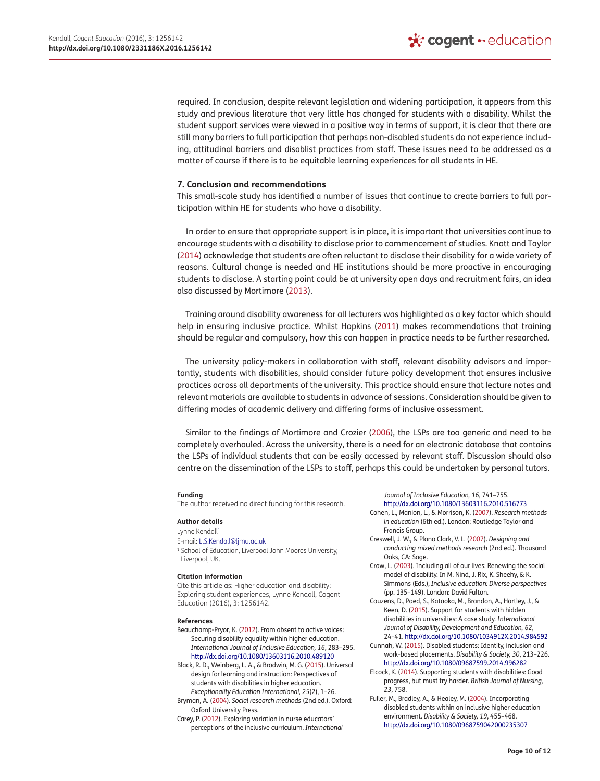required. In conclusion, despite relevant legislation and widening participation, it appears from this study and previous literature that very little has changed for students with a disability. Whilst the student support services were viewed in a positive way in terms of support, it is clear that there are still many barriers to full participation that perhaps non-disabled students do not experience including, attitudinal barriers and disablist practices from staff. These issues need to be addressed as a matter of course if there is to be equitable learning experiences for all students in HE.

#### **7. Conclusion and recommendations**

This small-scale study has identified a number of issues that continue to create barriers to full participation within HE for students who have a disability.

<span id="page-10-12"></span>In order to ensure that appropriate support is in place, it is important that universities continue to encourage students with a disability to disclose prior to commencement of studies. Knott and Taylor ([2014](#page-11-33)) acknowledge that students are often reluctant to disclose their disability for a wide variety of reasons. Cultural change is needed and HE institutions should be more proactive in encouraging students to disclose. A starting point could be at university open days and recruitment fairs, an idea also discussed by Mortimore [\(2013\)](#page-11-26).

Training around disability awareness for all lecturers was highlighted as a key factor which should help in ensuring inclusive practice. Whilst Hopkins [\(2011](#page-11-22)) makes recommendations that training should be regular and compulsory, how this can happen in practice needs to be further researched.

The university policy-makers in collaboration with staff, relevant disability advisors and importantly, students with disabilities, should consider future policy development that ensures inclusive practices across all departments of the university. This practice should ensure that lecture notes and relevant materials are available to students in advance of sessions. Consideration should be given to differing modes of academic delivery and differing forms of inclusive assessment.

Similar to the findings of Mortimore and Crozier [\(2006\)](#page-11-18), the LSPs are too generic and need to be completely overhauled. Across the university, there is a need for an electronic database that contains the LSPs of individual students that can be easily accessed by relevant staff. Discussion should also centre on the dissemination of the LSPs to staff, perhaps this could be undertaken by personal tutors.

#### **Funding**

The author received no direct funding for this research.

#### **Author details**

#### Lynne Kendall<sup>1</sup>

<span id="page-10-0"></span>E-mail: [L.S.Kendall@ljmu.ac.uk](mailto:L.S.Kendall@ljmu.ac.uk) <sup>1</sup> School of Education, Liverpool John Moores University, Liverpool, UK.

#### **Citation information**

Cite this article as: Higher education and disability: Exploring student experiences, Lynne Kendall, Cogent Education (2016), 3: 1256142.

#### **References**

- <span id="page-10-11"></span>Beauchamp-Pryor, K. ([2012\)](#page-9-0). From absent to active voices: Securing disability equality within higher education. *International Journal of Inclusive Education, 16*, 283–295[.](http://dx.doi.org/10.1080/13603116.2010.489120) <http://dx.doi.org/10.1080/13603116.2010.489120>
- <span id="page-10-5"></span>Black, R. D., Weinberg, L. A., & Brodwin, M. G. ([2015\)](#page-3-0). Universal design for learning and instruction: Perspectives of students with disabilities in higher education. *Exceptionality Education International, 25*(2), 1–26.
- <span id="page-10-9"></span>Bryman, A. [\(2004](#page-4-1)). *Social research methods* (2nd ed.). Oxford: Oxford University Press.
- <span id="page-10-3"></span>Carey, P. [\(2012\)](#page-2-0). Exploring variation in nurse educators' perceptions of the inclusive curriculum. *International*

*Journal of Inclusive Education, 16*, 741–755. <http://dx.doi.org/10.1080/13603116.2010.516773>

- <span id="page-10-10"></span>Cohen, L., Manion, L., & Morrison, K. [\(2007](#page-4-2)). *Research methods in education* (6th ed.). London: Routledge Taylor and Francis Group.
- <span id="page-10-8"></span>Creswell, J. W., & Plano Clark, V. L. ([2007\)](#page-4-3). *Designing and conducting mixed methods research* (2nd ed.). Thousand Oaks, CA: Sage.
- <span id="page-10-6"></span>Crow, L. [\(2003](#page-3-1)). Including all of our lives: Renewing the social model of disability. In M. Nind, J. Rix, K. Sheehy, & K. Simmons (Eds.), *Inclusive education: Diverse perspectives* (pp. 135–149). London: David Fulton.
- <span id="page-10-1"></span>Couzens, D., Poed, S., Kataoka, M., Brandon, A., Hartley, J., & Keen, D. [\(2015](#page-2-1)). Support for students with hidden disabilities in universities: A case study. *International Journal of Disability, Development and Education, 62*, 24–41.<http://dx.doi.org/10.1080/1034912X.2014.984592>
- <span id="page-10-4"></span>Cunnah, W. ([2015\)](#page-2-2). Disabled students: Identity, inclusion and work-based placements. *Disability & Society, 30*, 213–226[.](http://dx.doi.org/10.1080/09687599.2014.996282) <http://dx.doi.org/10.1080/09687599.2014.996282>
- <span id="page-10-2"></span>Elcock, K. ([2014](#page-2-3)). Supporting students with disabilities: Good progress, but must try harder. *British Journal of Nursing, 23*, 758.
- <span id="page-10-7"></span>Fuller, M., Bradley, A., & Healey, M. [\(2004](#page-3-2)). Incorporating disabled students within an inclusive higher education environment. *Disability & Society, 19*, 455–468[.](http://dx.doi.org/10.1080/0968759042000235307) <http://dx.doi.org/10.1080/0968759042000235307>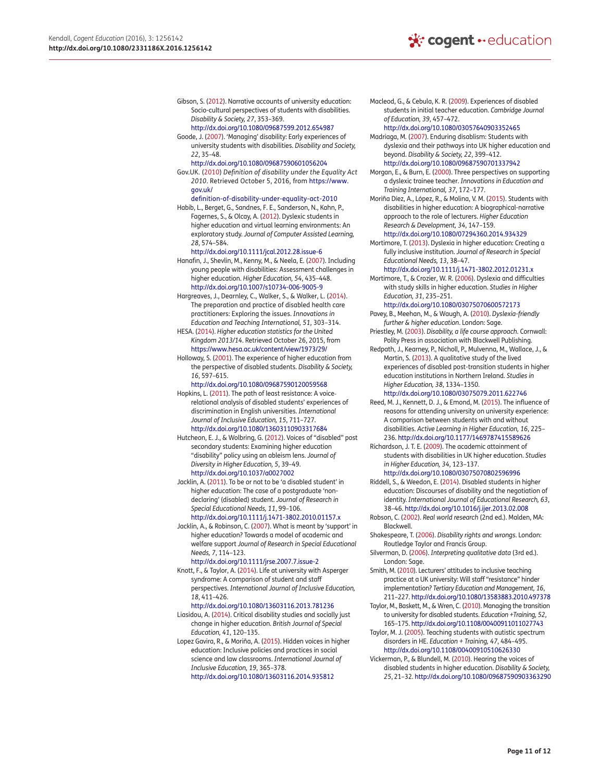- <span id="page-11-6"></span>Gibson, S. ([2012\)](#page-2-4). Narrative accounts of university education: Socio-cultural perspectives of st[u](http://dx.doi.org/10.1080/09687599.2012.654987)dents with disabilities. *Disability & Society, 27*, 353–369.
- <span id="page-11-4"></span><http://dx.doi.org/10.1080/09687599.2012.654987> Goode, J. [\(2007](#page-2-5)). 'Managing' disability: Early experiences of university [s](http://dx.doi.org/10.1080/09687590601056204)tudents with disabilities. *Disability and Society,*
- *22*, 35–48. <http://dx.doi.org/10.1080/09687590601056204> Gov.UK. [\(2010](#page-2-6)) *Definition of disability under the Equality Act*
- <span id="page-11-3"></span>*2010*. Retrieved October 5, 2016, from [https://www.](https://www.gov.uk/definition-of-disability-under-equality-act-2010) [gov.uk/](https://www.gov.uk/definition-of-disability-under-equality-act-2010)
	- [definition-of-disability-under-equality-act-2010](https://www.gov.uk/definition-of-disability-under-equality-act-2010)
- <span id="page-11-17"></span>Habib, L., Berget, G., Sandnes, F. E., Sanderson, N., Kahn, P., Fagernes, S., & Olcay, A. [\(2012](#page-2-7)). Dyslexic students in higher education and virtual learning environments: An exploratory [st](http://dx.doi.org/10.1111/jcal.2012.28.issue-6)udy. *Journal of Computer Assisted Learning, 28*, 574–584.
	- <http://dx.doi.org/10.1111/jcal.2012.28.issue-6>
- <span id="page-11-0"></span>Hanafin, J., Shevlin, M., Kenny, M., & Neela, E. [\(2007\)](#page-1-2). Including young people with disabilities: Assessment chall[en](http://dx.doi.org/10.1007/s10734-006-9005-9)ges in higher education. *Higher Education, 54*, 435–448. <http://dx.doi.org/10.1007/s10734-006-9005-9>
- <span id="page-11-19"></span>Hargreaves, J., Dearnley, C., Walker, S., & Walker, L. [\(2014](#page-2-8)). The preparation and practice of disabled health care practitioners: Exploring the issues. *Innovations in Education and Teaching International, 51*, 303–314.
- <span id="page-11-8"></span>HESA. ([2014\)](#page-2-9). *Higher education statistics for the United Kingdom 2013/14*. Retrieved October 26, 2015, from <https://www.hesa.ac.uk/content/view/1973/29/>
- <span id="page-11-25"></span>Holloway, S. [\(2001](#page-3-3)). The experience of higher education from the perspect[iv](http://dx.doi.org/10.1080/09687590120059568)e of disabled students. *Disability & Society, 16*, 597–615.
	- <http://dx.doi.org/10.1080/09687590120059568>
- <span id="page-11-22"></span>Hopkins, L. [\(2011\)](#page-3-4). The path of least resistance: A voice‐ relational analysis of disabled students' experiences of discrimination in English universities. *Inter[na](http://dx.doi.org/10.1080/13603110903317684)tional Journal of Inclusive Education, 15*, 711–727. <http://dx.doi.org/10.1080/13603110903317684>
- <span id="page-11-10"></span>Hutcheon, E. J., & Wolbring, G. [\(2012\)](#page-2-10). Voices of "disabled" post secondary students: Examining higher education "disability" policy using an ableism le[ns](http://dx.doi.org/10.1037/a0027002). *Journal of Diversity in Higher Education, 5*, 39–49. <http://dx.doi.org/10.1037/a0027002>
- <span id="page-11-15"></span>Jacklin, A. ([2011](#page-2-11)). To be or not to be 'a disabled student' in higher education: The case of a postgraduate 'nondeclaring' (disabled) student. *Journal of Research in Special Educational Needs, 11*, 99–106[.](http://dx.doi.org/10.1111/j.1471-3802.2010.01157.x) <http://dx.doi.org/10.1111/j.1471-3802.2010.01157.x>
- <span id="page-11-5"></span>Jacklin, A., & Robinson, C. [\(2007](#page-2-12)). What is meant by 'support' in higher education? Towards a model of academic and welfare support *Journal of Research in Special Educational Needs, 7*, 114–123[.](http://dx.doi.org/10.1111/jrse.2007.7.issue-2)
- <span id="page-11-33"></span><http://dx.doi.org/10.1111/jrse.2007.7.issue-2> Knott, F., & Taylor, A. [\(2014](#page-10-12)). Life at university with Asperger syndrome: A comparison of student and staff perspectives[.](http://dx.doi.org/10.1080/13603116.2013.781236) *International Journal of Inclusive Education,*
- *18*, 411–426. <http://dx.doi.org/10.1080/13603116.2013.781236> Liasidou, A. [\(2014\)](#page-2-13). Critical disability studies and socially just
- <span id="page-11-7"></span>change in higher education. *British Journal of Special Education, 41*, 120–135.
- <span id="page-11-30"></span>Lopez Gavira, R., & Moriña, A. [\(2015](#page-7-0)). Hidden voices in higher education: Inclusive policies and practices in social science and law classrooms. *Inte[r](http://dx.doi.org/10.1080/13603116.2014.935812)national Journal of Inclusive Education, 19*, 365–378. <http://dx.doi.org/10.1080/13603116.2014.935812>
- <span id="page-11-1"></span>Macleod, G., & Cebula, K. R. ([2009\)](#page-1-3). Experiences of disabled students in initial teacher [e](http://dx.doi.org/10.1080/03057640903352465)ducation. *Cambridge Journal of Education, 39*, 457–472.
- <span id="page-11-2"></span><http://dx.doi.org/10.1080/03057640903352465> Madriaga, M. ([2007\)](#page-2-14). Enduring disablism: Students with dyslexia and their pathways into UK higher education and beyond. *Disability & Society, 22*, 399–412[.](http://dx.doi.org/10.1080/09687590701337942) <http://dx.doi.org/10.1080/09687590701337942>
- <span id="page-11-31"></span>Morgan, E., & Burn, E. [\(2000](#page-9-1)). Three perspectives on supporting a dyslexic trainee teacher. *Innovations in Education and Training International, 37*, 172–177.
- <span id="page-11-23"></span>Moriña Díez, A., López, R., & Molina, V. M. [\(2015](#page-3-5)). Students with disabilities in higher education: A biographical-narrative approach to the role of lecturers. *High[er](http://dx.doi.org/10.1080/07294360.2014.934329) Education Research & Development, 34*, 147–159.
- <span id="page-11-26"></span><http://dx.doi.org/10.1080/07294360.2014.934329> Mortimore, T. ([2013](#page-3-6)). Dyslexia in higher education: Creating a fully inclusive institution. *Jour[n](http://dx.doi.org/10.1111/j.1471-3802.2012.01231.x)al of Research in Special Educational Needs, 13*, 38–47.
- <span id="page-11-18"></span><http://dx.doi.org/10.1111/j.1471-3802.2012.01231.x> Mortimore, T., & Crozier, W. R. [\(2006](#page-2-15)). Dyslexia and difficulties with study skills in high[e](http://dx.doi.org/10.1080/03075070600572173)r education. *Studies in Higher Education, 31*, 235–251.
- <span id="page-11-27"></span><http://dx.doi.org/10.1080/03075070600572173> Pavey, B., Meehan, M., & Waugh, A. [\(2010\)](#page-3-7). *Dyslexia-friendly further & higher education*. London: Sage.
- <span id="page-11-21"></span>Priestley, M. [\(2003](#page-2-16)). *Disability, a life course approach*. Cornwall: Polity Press in association with Blackwell Publishing.
- <span id="page-11-11"></span>Redpath, J., Kearney, P., Nicholl, P., Mulvenna, M., Wallace, J., & Martin, S. ([2013\)](#page-2-17). A qualitative study of the lived experiences of disabled post-transition students in higher education institutions in Northern Ireland. *Studies in Higher Education, 38*, 1334–1350[.](http://dx.doi.org/10.1080/03075079.2011.622746)
	- <http://dx.doi.org/10.1080/03075079.2011.622746>
- <span id="page-11-24"></span>Reed, M. J., Kennett, D. J., & Emond, M. [\(2015](#page-3-8)). The influence of reasons for attending university on university experience: A comparison between students with and without disabilities. *Active Learning in Higher Education, 16*, 225– 236.<http://dx.doi.org/10.1177/1469787415589626>
- <span id="page-11-16"></span>Richardson, J. T. E. [\(2009](#page-2-18)). The academic attainment of students with disabilities in UK hi[g](http://dx.doi.org/10.1080/03075070802596996)her education. *Studies in Higher Education, 34*, 123–137. <http://dx.doi.org/10.1080/03075070802596996>
- <span id="page-11-12"></span>Riddell, S., & Weedon, E. [\(2014](#page-2-19)). Disabled students in higher education: Discourses of disability and the negotiation of identity. *International Journal of Educational Research, 63*, 38–46.<http://dx.doi.org/10.1016/j.ijer.2013.02.008>
- <span id="page-11-28"></span>Robson, C. ([2002](#page-4-4)). *Real world research* (2nd ed.). Malden, MA: Blackwell.
- <span id="page-11-20"></span>Shakespeare, T. [\(2006](#page-2-20)). *Disability rights and wrongs*. London: Routledge Taylor and Francis Group.
- <span id="page-11-29"></span>Silverman, D. ([2006\)](#page-5-0). *Interpreting qualitative data* (3rd ed.). London: Sage.
- <span id="page-11-13"></span>Smith, M. ([2010](#page-2-21)). Lecturers' attitudes to inclusive teaching practice at a UK university: Will staff "resistance" hinder implementation? *Tertiary Education and Management, 16*, 211–227.<http://dx.doi.org/10.1080/13583883.2010.497378>
- <span id="page-11-14"></span>Taylor, M., Baskett, M., & Wren, C. ([2010](#page-2-22)). Managing the transition to university for disabled students. *Education +Training, 52*, 165–175[. http://dx.doi.org/10.1108/00400911011027743](http://dx.doi.org/10.1108/00400911011027743)
- <span id="page-11-32"></span>Taylor, M. J. ([2005\)](#page-9-2). Teaching students with autistic spe[c](http://dx.doi.org/10.1108/00400910510626330)trum disorders in HE. *Education + Training, 47*, 484–495. <http://dx.doi.org/10.1108/00400910510626330>
- <span id="page-11-9"></span>Vickerman, P., & Blundell, M. [\(2010\)](#page-2-23). Hearing the voices of disabled students in higher education. *Disability & Society, 25*, 21–32[. http://dx.doi.org/10.1080/09687590903363290](http://dx.doi.org/10.1080/09687590903363290)